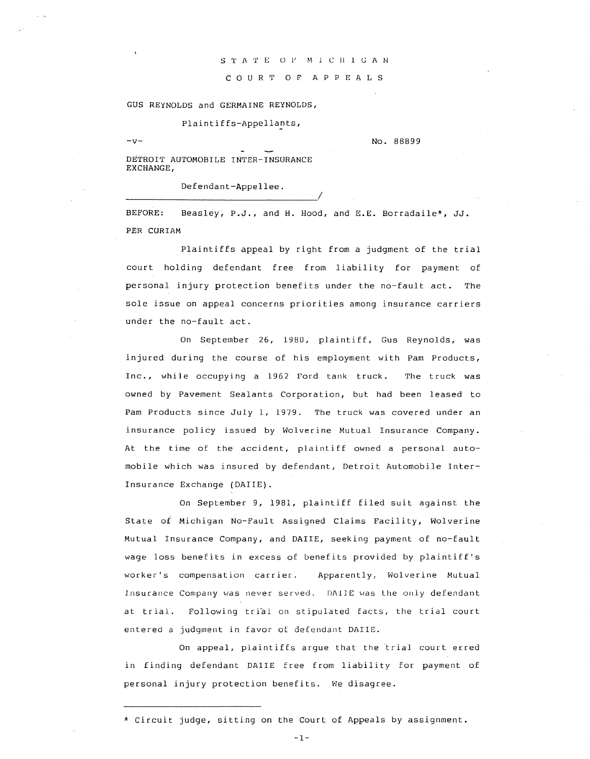## S T A T E O F M I C H I G A N

C 0 U R T 0 F A P P E A L S

GUS REYNOLDS and GERMAINE REYNOLDS,

Plaintiffs-Appellants,

 $-v-v$ 

DETROIT AUTOMOBILE INTER-INSURANCE EXCHANGE,

Defendant-Appellee.

BEFORE: Beasley, P.J., and H. Hood, and E.E. Borradaile\*, JJ. PER CURIAM

Plaintiffs appeal by right from a judgment of the trial court holding defendant free from liability for payment of personal injury protection benefits under the no-fault act. The sole issue on appeal concerns priorities among insurance carriers under the no-fault act.

On September 26, 1980, plaintiff, Gus Reynolds, was injured during the course of his employment with Pam Products, Inc., while occupying a 1962 Ford tank truck. The truck was owned by Pavement Sealants Corporation, but had been leased to Pam Products since July 1, 1979. The truck was covered under an insurance policy issued by Wolverine Mutual Insurance Company. At the time of the accident, plaintiff owned a personal automobile which was insured by defendant, Detroit Automobile Inter-Insurance Exchange (DAIIE).

On September 9, 1981, plaintiff filed suit against the State of Michigan No-Fault Assigned Claims Facility, Wolverine Mutual Insurance Company, and DAIIE, seeking payment of no-fault wage loss benefits in excess of benefits provided by plaintiff's worker's compensation carrier. Apparently, Wolverine Mutual Insurance Company was never served. DAIIE was the only defendant at trial. Following trial on stipulated facts, the trial court entered a judgment in favor ot defendant DAIIE.

On appeal, plaintiffs argue that the trial court erred in finding defendant DAIIE free from liability for payment of personal injury protection benefits. We disagree.

\* Circuit judge, sitting on the Court of Appeals by assignment.

 $-1-$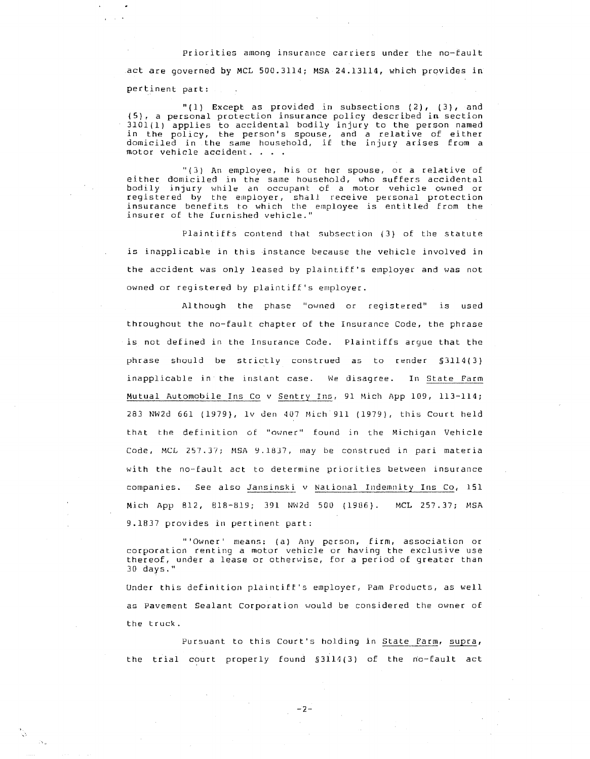## Priorities among insurance carriers under the no-fault

act are governed by MCL 500.3114; MSA 24.13114, which provides in pertinent part:

"(1) Except as provided in subsections  $(2)$ ,  $(3)$ , and (5), a personal protection insurance policy described in section 3101(1) applies to accidental bodily injury to the person named in the policy, the person's spouse, and a relative of either domiciled in the same household, if the injury arises from a motor vehicle accident. .

"(3) An employee, his or her spouse, or a relative of either domiciled in the same household, who suffers accidental bodily injury while an occupant: of a motor vehicle owned or registered by the employer, shall receive personal protection insurance benefits to which the employee is entitled from the insurer of the furnished vehicle."

Plaintiffs contend that subsection (3) of the statute is inapplicable in this instance because the vehicle involved in the accident was only leased by plaintiff's employer and was not owned or registered by plaintiff's employer.

Although the phase "owned or registered" is used throughout the no-fault chapter of the Insurance Code, the phrase is not defined in the Insurance Code. Plaintiffs argue that the phrase should be strictly construed as to render §3114(3) inapplicable in the inslant case. We disagree. In State Farm Mutual Automobile Ins Co v Sentry Ins, 91 Mich App 109, 113-114; 283 NW2d 661 (1979), lv den 407 Mich 911 (1979), this Court held that the definition of "owner" found in the Michigan Vehicle Code, MCL 257.37; MSA 9.1837, may be construed in pari materia with the no-fault act to determine priorities between insurance companies. See also Jansinski v National Indemnity Ins Co, 151 Mich App 812, 818-819; 391 NW2d 500 (1986). MCL 257.37; MSA 9.1837 provides in pertinent part:

"'Owner' means: (a) Any person, firm, association or corporation renting a motor vehicle or having the exclusive use thereof, under a lease or otherwise, for a period of greater than 30 days."

Under this definition plaintiff's employer, Pam Products, as well as Pavement Sealant Corporation would be considered the owner of the truck.

Pursuant to this Court's holding in State Farm, supra, the trial court properly found  $$3114(3)$  of the no-fault act

 $-2-$ 

·,.,